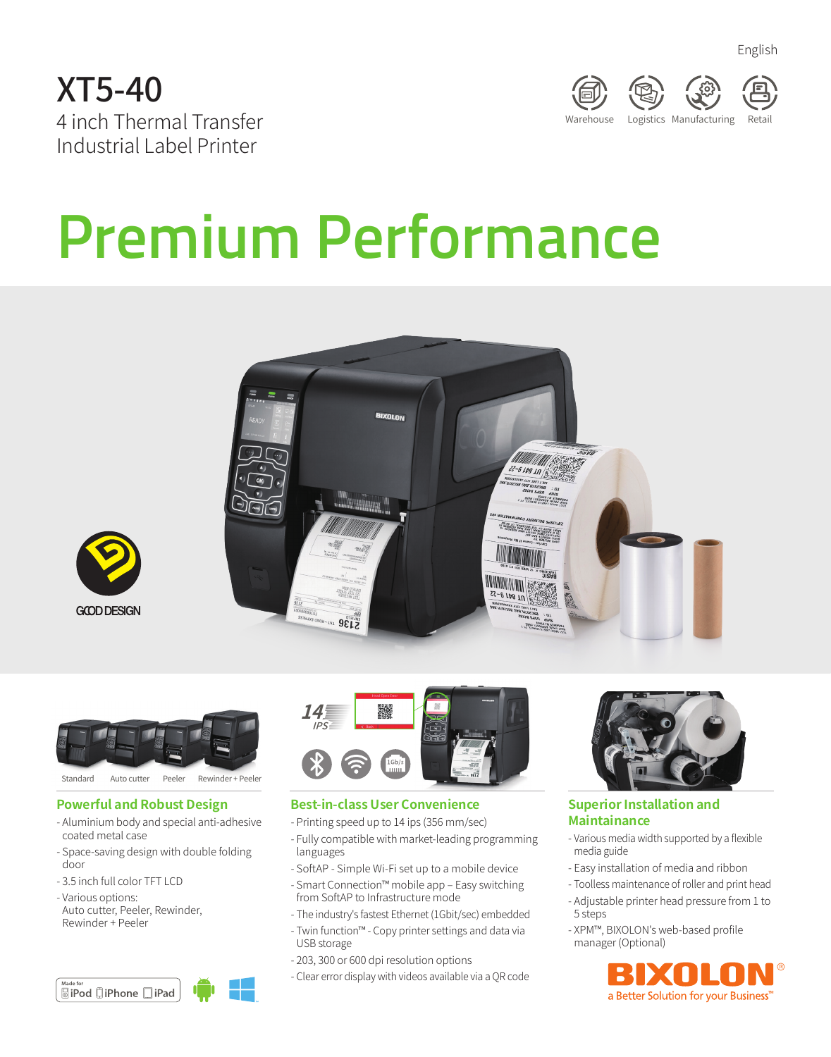





# **Premium Performance**







#### **Powerful and Robust Design**

- Aluminium body and special anti-adhesive coated metal case
- Space-saving design with double folding door
- 3.5 inch full color TFT LCD
- Various options:
- Auto cutter, Peeler, Rewinder, Rewinder + Peeler

| Made for |                               |       |  |
|----------|-------------------------------|-------|--|
|          | <b><u></u> a</b> iPod □iPhone | ∥iPad |  |



#### **Best-in-class User Convenience**

- Printing speed up to 14 ips (356 mm/sec)
- Fully compatible with market-leading programming languages
- SoftAP Simple Wi-Fi set up to a mobile device
- Smart Connection™ mobile app Easy switching from SoftAP to Infrastructure mode
- The industry's fastest Ethernet (1Gbit/sec) embedded
- Twin function™ Copy printer settings and data via USB storage
- 203, 300 or 600 dpi resolution options
- Clear error display with videos available via a QR code



#### **Superior Installation and Maintainance**

- Various media width supported by a flexible media guide
- Easy installation of media and ribbon
- Toolless maintenance of roller and print head
- Adjustable printer head pressure from 1 to 5 steps
- XPM™, BIXOLON's web-based profile manager (Optional)